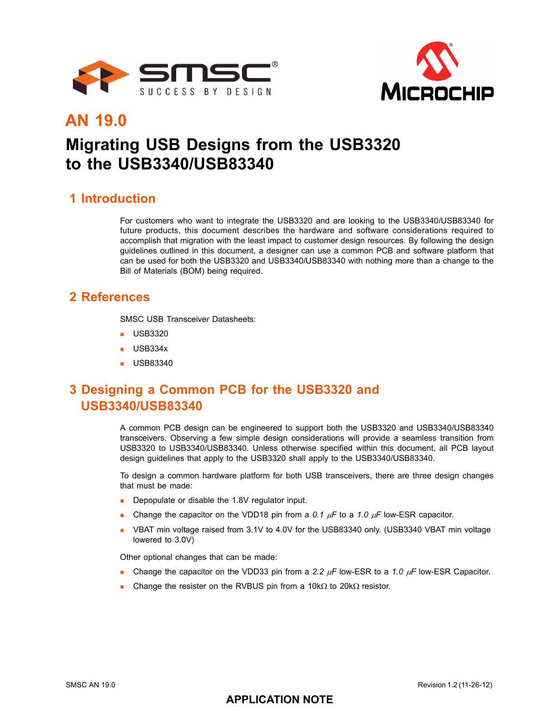



# **AN 19.0**

# **Migrating USB Designs from the USB3320 to the USB3340/USB83340**

#### **1 Introduction**

For customers who want to integrate the USB3320 and are looking to the USB3340/USB83340 for future products, this document describes the hardware and software considerations required to accomplish that migration with the least impact to customer design resources. By following the design guidelines outlined in this document, a designer can use a common PCB and software platform that can be used for both the USB3320 and USB3340/USB83340 with nothing more than a change to the Bill of Materials (BOM) being required.

## **2 References**

SMSC USB Transceiver Datasheets:

- **USB3320**
- USB334x
- $\blacksquare$  USB83340

# **3 Designing a Common PCB for the USB3320 and USB3340/USB83340**

A common PCB design can be engineered to support both the USB3320 and USB3340/USB83340 transceivers. Observing a few simple design considerations will provide a seamless transition from USB3320 to USB3340/USB83340. Unless otherwise specified within this document, all PCB layout design guidelines that apply to the USB3320 shall apply to the USB3340/USB83340.

To design a common hardware platform for both USB transceivers, there are three design changes that must be made:

- **Depopulate or disable the 1.8V regulator input.**
- Change the capacitor on the VDD18 pin from a *0.1* μ*F* to a *1.0* μ*F* low-ESR capacitor.
- VBAT min voltage raised from 3.1V to 4.0V for the USB83340 only. (USB3340 VBAT min voltage lowered to 3.0V)

Other optional changes that can be made:

- Change the capacitor on the VDD33 pin from a *2.2* μ*F* low-ESR to a *1.0* μ*F* low-ESR Capacitor.
- Change the resister on the RVBUS pin from a 10kΩ to 20kΩ resistor.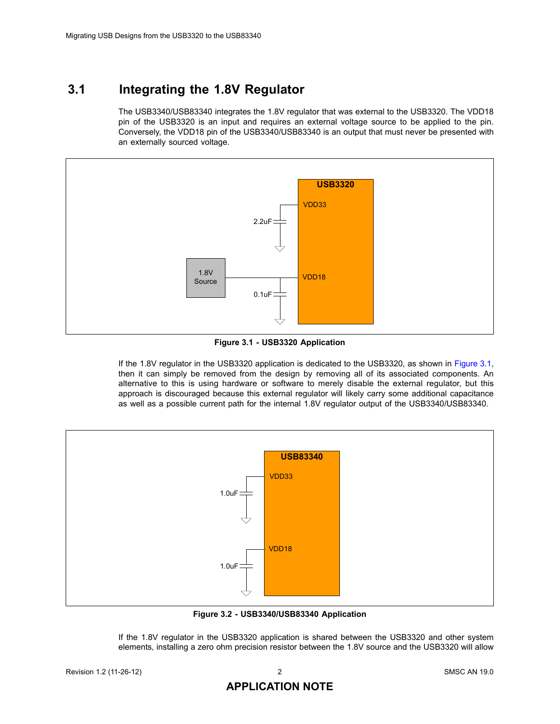## **3.1 Integrating the 1.8V Regulator**

The USB3340/USB83340 integrates the 1.8V regulator that was external to the USB3320. The VDD18 pin of the USB3320 is an input and requires an external voltage source to be applied to the pin. Conversely, the VDD18 pin of the USB3340/USB83340 is an output that must never be presented with an externally sourced voltage.



**Figure 3.1 - USB3320 Application**

<span id="page-1-0"></span>If the 1.8V regulator in the USB3320 application is dedicated to the USB3320, as shown in [Figure 3.1,](#page-1-0) then it can simply be removed from the design by removing all of its associated components. An alternative to this is using hardware or software to merely disable the external regulator, but this approach is discouraged because this external regulator will likely carry some additional capacitance as well as a possible current path for the internal 1.8V regulator output of the USB3340/USB83340.



**Figure 3.2 - USB3340/USB83340 Application**

<span id="page-1-1"></span>If the 1.8V regulator in the USB3320 application is shared between the USB3320 and other system elements, installing a zero ohm precision resistor between the 1.8V source and the USB3320 will allow

#### **APPLICATION NOTE**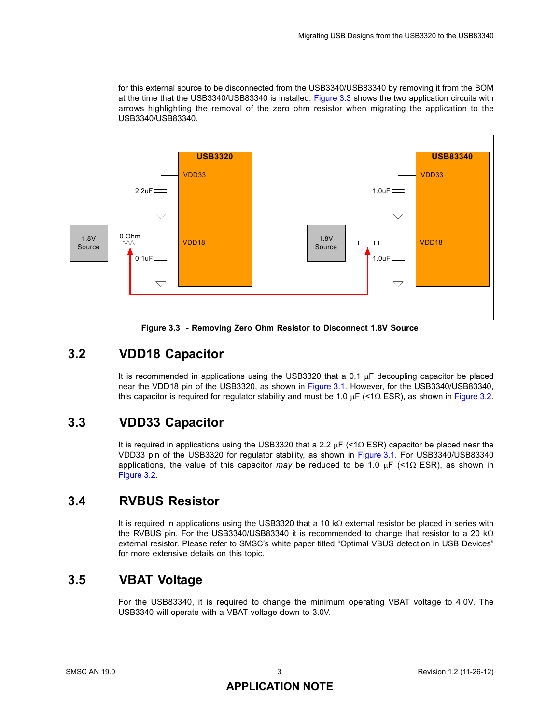for this external source to be disconnected from the USB3340/USB83340 by removing it from the BOM at the time that the USB3340/USB83340 is installed. [Figure 3.3](#page-2-0) shows the two application circuits with arrows highlighting the removal of the zero ohm resistor when migrating the application to the USB3340/USB83340.



**Figure 3.3 - Removing Zero Ohm Resistor to Disconnect 1.8V Source**

## <span id="page-2-0"></span>**3.2 VDD18 Capacitor**

It is recommended in applications using the USB3320 that a 0.1 μF decoupling capacitor be placed near the VDD18 pin of the USB3320, as shown in [Figure 3.1](#page-1-0). However, for the USB3340/USB83340, this capacitor is required for regulator stability and must be 1.0 μF (<1Ω ESR), as shown in [Figure 3.2.](#page-1-1)

## **3.3 VDD33 Capacitor**

It is required in applications using the USB3320 that a 2.2 μF (<1Ω ESR) capacitor be placed near the VDD33 pin of the USB3320 for regulator stability, as shown in [Figure 3.1.](#page-1-0) For USB3340/USB83340 applications, the value of this capacitor *may* be reduced to be 1.0 μF (<1Ω ESR), as shown in [Figure 3.2](#page-1-1).

## **3.4 RVBUS Resistor**

It is required in applications using the USB3320 that a 10 kΩ external resistor be placed in series with the RVBUS pin. For the USB3340/USB83340 it is recommended to change that resistor to a 20 kΩ external resistor. Please refer to SMSC's white paper titled "Optimal VBUS detection in USB Devices" for more extensive details on this topic.

## **3.5 VBAT Voltage**

For the USB83340, it is required to change the minimum operating VBAT voltage to 4.0V. The USB3340 will operate with a VBAT voltage down to 3.0V.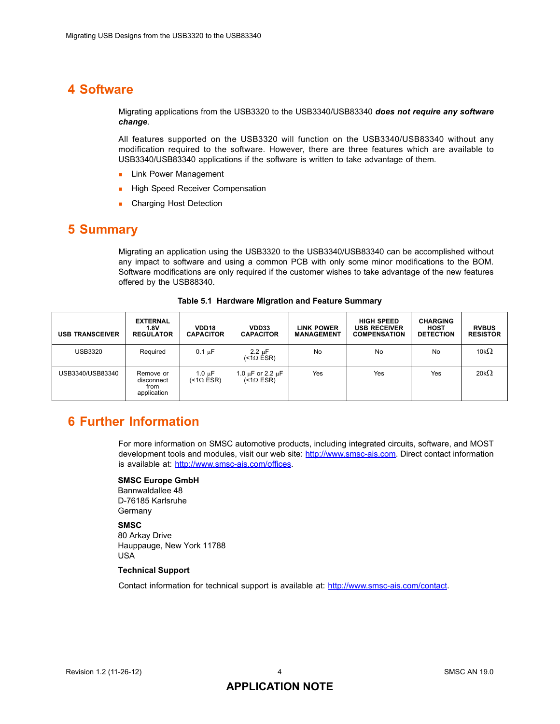#### **4 Software**

Migrating applications from the USB3320 to the USB3340/USB83340 *does not require any software change*.

All features supported on the USB3320 will function on the USB3340/USB83340 without any modification required to the software. However, there are three features which are available to USB3340/USB83340 applications if the software is written to take advantage of them.

- **Link Power Management**
- **High Speed Receiver Compensation**
- **Charging Host Detection**

#### **5 Summary**

Migrating an application using the USB3320 to the USB3340/USB83340 can be accomplished without any impact to software and using a common PCB with only some minor modifications to the BOM. Software modifications are only required if the customer wishes to take advantage of the new features offered by the USB88340.

| <b>USB TRANSCEIVER</b> | <b>EXTERNAL</b><br>1.8V<br><b>REGULATOR</b>    | VDD <sub>18</sub><br><b>CAPACITOR</b> | VDD33<br><b>CAPACITOR</b>                     | <b>LINK POWER</b><br><b>MANAGEMENT</b> | HIGH SPEED<br><b>USB RECEIVER</b><br><b>COMPENSATION</b> | <b>CHARGING</b><br><b>HOST</b><br><b>DETECTION</b> | <b>RVBUS</b><br><b>RESISTOR</b> |
|------------------------|------------------------------------------------|---------------------------------------|-----------------------------------------------|----------------------------------------|----------------------------------------------------------|----------------------------------------------------|---------------------------------|
| <b>USB3320</b>         | Required                                       | $0.1 \mu F$                           | $2.2 \mu F$<br>(<1Ω ĖSR)                      | <b>No</b>                              | No                                                       | No                                                 | 10k $\Omega$                    |
| USB3340/USB83340       | Remove or<br>disconnect<br>from<br>application | 1.0 $\mu$ F<br>(<1 $\Omega$ ESR)      | 1.0 µF or 2.2 µF<br>$(\dot{\leq}1\Omega$ ESR) | Yes                                    | Yes                                                      | Yes                                                | 20 $k\Omega$                    |

**Table 5.1 Hardware Migration and Feature Summary**

#### **6 Further Information**

For more information on SMSC automotive products, including integrated circuits, software, and MOST development tools and modules, visit our web site: [http://www.smsc-ais.com.](http://www.smsc-ais.com) Direct contact information is available at: [http://www.smsc-ais.com/offices](http://www.smsc-ais.com/AIS/content/view/100/737/).

#### **SMSC Europe GmbH**

Bannwaldallee 48 D-76185 Karlsruhe Germany

#### **SMSC**

80 Arkay Drive Hauppauge, New York 11788 USA

#### **Technical Support**

Contact information for technical support is available at: [http://www.smsc-ais.com/contact](http://www.smsc-ais.com/AIS/content/view/17/41/).